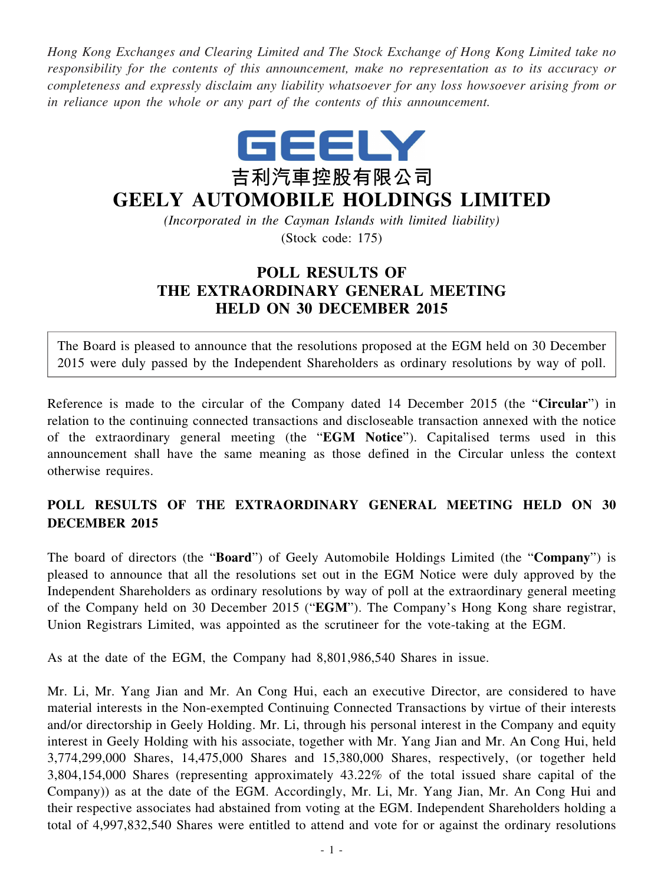*Hong Kong Exchanges and Clearing Limited and The Stock Exchange of Hong Kong Limited take no responsibility for the contents of this announcement, make no representation as to its accuracy or completeness and expressly disclaim any liability whatsoever for any loss howsoever arising from or in reliance upon the whole or any part of the contents of this announcement.*



## **GEELY AUTOMOBILE HOLDINGS LIMITED**

*(Incorporated in the Cayman Islands with limited liability)* (Stock code: 175)

## **POLL RESULTS OF THE EXTRAORDINARY GENERAL MEETING HELD ON 30 DECEMBER 2015**

The Board is pleased to announce that the resolutions proposed at the EGM held on 30 December 2015 were duly passed by the Independent Shareholders as ordinary resolutions by way of poll.

Reference is made to the circular of the Company dated 14 December 2015 (the "**Circular**") in relation to the continuing connected transactions and discloseable transaction annexed with the notice of the extraordinary general meeting (the "**EGM Notice**"). Capitalised terms used in this announcement shall have the same meaning as those defined in the Circular unless the context otherwise requires.

## **POLL RESULTS OF THE EXTRAORDINARY GENERAL MEETING HELD ON 30 DECEMBER 2015**

The board of directors (the "**Board**") of Geely Automobile Holdings Limited (the "**Company**") is pleased to announce that all the resolutions set out in the EGM Notice were duly approved by the Independent Shareholders as ordinary resolutions by way of poll at the extraordinary general meeting of the Company held on 30 December 2015 ("**EGM**"). The Company's Hong Kong share registrar, Union Registrars Limited, was appointed as the scrutineer for the vote-taking at the EGM.

As at the date of the EGM, the Company had 8,801,986,540 Shares in issue.

Mr. Li, Mr. Yang Jian and Mr. An Cong Hui, each an executive Director, are considered to have material interests in the Non-exempted Continuing Connected Transactions by virtue of their interests and/or directorship in Geely Holding. Mr. Li, through his personal interest in the Company and equity interest in Geely Holding with his associate, together with Mr. Yang Jian and Mr. An Cong Hui, held 3,774,299,000 Shares, 14,475,000 Shares and 15,380,000 Shares, respectively, (or together held 3,804,154,000 Shares (representing approximately 43.22% of the total issued share capital of the Company)) as at the date of the EGM. Accordingly, Mr. Li, Mr. Yang Jian, Mr. An Cong Hui and their respective associates had abstained from voting at the EGM. Independent Shareholders holding a total of 4,997,832,540 Shares were entitled to attend and vote for or against the ordinary resolutions